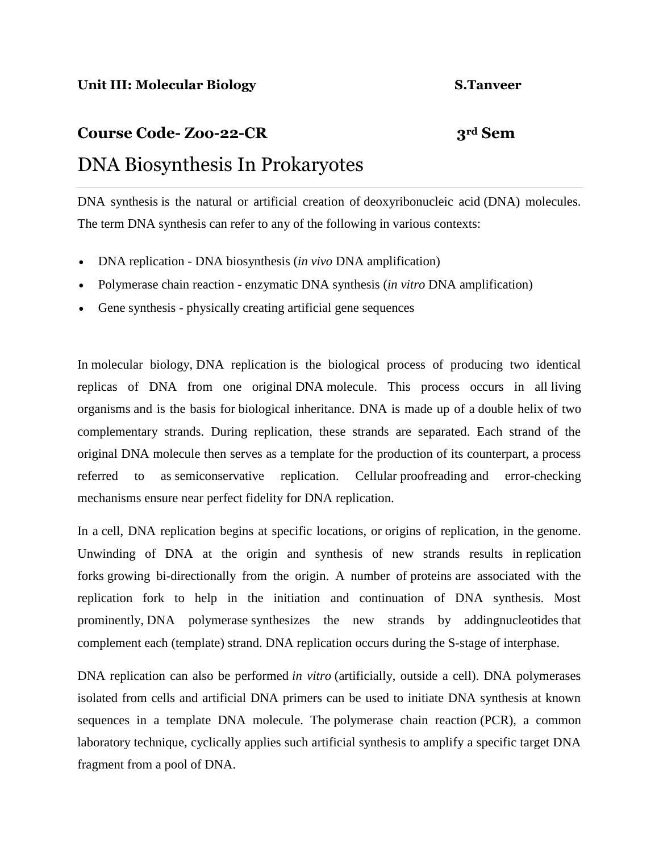# **Course Code- Zoo-22-CR 3rd Sem** DNA Biosynthesis In Prokaryotes

DNA synthesis is the natural or artificial creation of [deoxyribonucleic acid](https://en.wikipedia.org/wiki/Deoxyribonucleic_acid) (DNA) molecules. The term DNA synthesis can refer to any of the following in various contexts:

- [DNA replication](https://en.wikipedia.org/wiki/DNA_replication) DNA biosynthesis (*in vivo* DNA amplification)
- [Polymerase chain reaction](https://en.wikipedia.org/wiki/Polymerase_chain_reaction) enzymatic DNA synthesis (*in vitro* DNA amplification)
- [Gene synthesis](https://en.wikipedia.org/wiki/Gene_synthesis) physically creating [artificial gene sequences](https://en.wikipedia.org/wiki/Synthetic_DNA)

In [molecular biology,](https://en.wikipedia.org/wiki/Molecular_biology) DNA replication is the biological process of producing two identical replicas of DNA from one original [DNA](https://en.wikipedia.org/wiki/DNA) molecule. This process occurs in all [living](https://en.wikipedia.org/wiki/Life)  [organisms](https://en.wikipedia.org/wiki/Life) and is the basis for [biological inheritance.](https://en.wikipedia.org/wiki/Heredity) DNA is made up of a [double helix](https://en.wikipedia.org/wiki/Nucleic_acid_double_helix) of two complementary strands. During replication, these strands are separated. Each strand of the original DNA molecule then serves as a template for the production of its counterpart, a process referred to as [semiconservative replication.](https://en.wikipedia.org/wiki/Semiconservative_replication) Cellular [proofreading](https://en.wikipedia.org/wiki/Proofreading_(Biology)) and error-checking mechanisms ensure near perfect fidelity for DNA replication.

In a [cell,](https://en.wikipedia.org/wiki/Cell_(biology)) DNA replication begins at specific locations, or [origins of replication,](https://en.wikipedia.org/wiki/Origin_of_replication) in the [genome.](https://en.wikipedia.org/wiki/Genome) Unwinding of DNA at the origin and synthesis of new strands results in [replication](https://en.wikipedia.org/wiki/Replication_fork)  [forks](https://en.wikipedia.org/wiki/Replication_fork) growing bi-directionally from the origin. A number of [proteins](https://en.wikipedia.org/wiki/Protein) are associated with the replication fork to help in the initiation and continuation of DNA synthesis. Most prominently, [DNA polymerase](https://en.wikipedia.org/wiki/DNA_polymerase) synthesizes the new strands by addin[gnucleotides](https://en.wikipedia.org/wiki/Nucleotides) that complement each (template) strand. DNA replication occurs during the S-stage of [interphase.](https://en.wikipedia.org/wiki/Interphase)

DNA replication can also be performed *[in vitro](https://en.wikipedia.org/wiki/In_vitro)* (artificially, outside a cell). DNA polymerases isolated from cells and artificial DNA primers can be used to initiate DNA synthesis at known sequences in a template DNA molecule. The [polymerase chain reaction](https://en.wikipedia.org/wiki/Polymerase_chain_reaction) (PCR), a common laboratory technique, cyclically applies such artificial synthesis to amplify a specific target DNA fragment from a pool of DNA.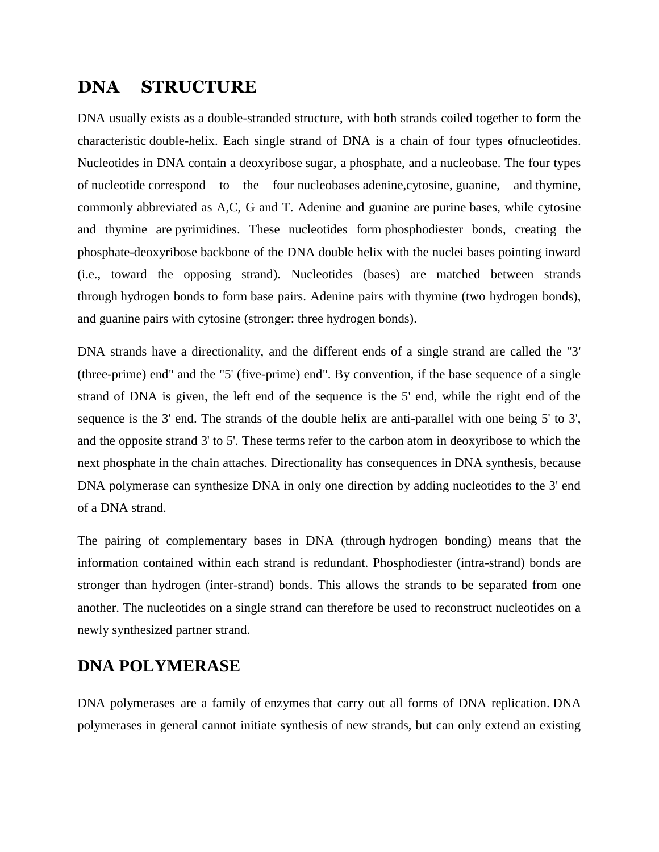# **DNA STRUCTURE**

DNA usually exists as a double-stranded structure, with both strands coiled together to form the characteristic [double-helix.](https://en.wikipedia.org/wiki/Double-helix) Each single strand of DNA is a chain of four types o[fnucleotides.](https://en.wikipedia.org/wiki/Nucleotide) Nucleotides in DNA contain a [deoxyribose](https://en.wikipedia.org/wiki/Deoxyribose) sugar, a [phosphate,](https://en.wikipedia.org/wiki/Phosphate) and a [nucleobase.](https://en.wikipedia.org/wiki/Nucleobase) The four types of [nucleotide](https://en.wikipedia.org/wiki/Nucleotide) correspond to the four [nucleobases](https://en.wikipedia.org/wiki/Nucleobase) [adenine](https://en.wikipedia.org/wiki/Adenine)[,cytosine,](https://en.wikipedia.org/wiki/Cytosine) [guanine,](https://en.wikipedia.org/wiki/Guanine) and [thymine,](https://en.wikipedia.org/wiki/Thymine) commonly abbreviated as A,C, G and T. Adenine and guanine are [purine](https://en.wikipedia.org/wiki/Purine) bases, while cytosine and thymine are [pyrimidines.](https://en.wikipedia.org/wiki/Pyrimidine) These nucleotides form [phosphodiester bonds,](https://en.wikipedia.org/wiki/Phosphodiester_bonds) creating the phosphate-deoxyribose backbone of the DNA double helix with the nuclei bases pointing inward (i.e., toward the opposing strand). Nucleotides (bases) are matched between strands through [hydrogen bonds](https://en.wikipedia.org/wiki/Hydrogen_bonding) to form [base pairs.](https://en.wikipedia.org/wiki/Base_pair) Adenine pairs with thymine (two hydrogen bonds), and guanine pairs with cytosine (stronger: three hydrogen bonds).

[DNA strands have a directionality,](https://en.wikipedia.org/wiki/Directionality_(molecular_biology)) and the different ends of a single strand are called the "3' (three-prime) end" and the "5' (five-prime) end". By convention, if the base sequence of a single strand of DNA is given, the left end of the sequence is the 5' end, while the right end of the sequence is the 3' end. The strands of the double helix are anti-parallel with one being 5' to 3', and the opposite strand 3' to 5'. These terms refer to the carbon atom in deoxyribose to which the next phosphate in the chain attaches. Directionality has consequences in DNA synthesis, because DNA polymerase can synthesize DNA in only one direction by adding nucleotides to the 3' end of a DNA strand.

The pairing of complementary bases in DNA (through [hydrogen bonding\)](https://en.wikipedia.org/wiki/Hydrogen_bonding) means that the information contained within each strand is redundant. Phosphodiester (intra-strand) bonds are stronger than hydrogen (inter-strand) bonds. This allows the strands to be separated from one another. The nucleotides on a single strand can therefore be used to reconstruct nucleotides on a newly synthesized partner strand.

# **DNA POLYMERASE**

DNA polymerases are a family of [enzymes](https://en.wikipedia.org/wiki/Enzyme) that carry out all forms of DNA replication. DNA polymerases in general cannot initiate synthesis of new strands, but can only extend an existing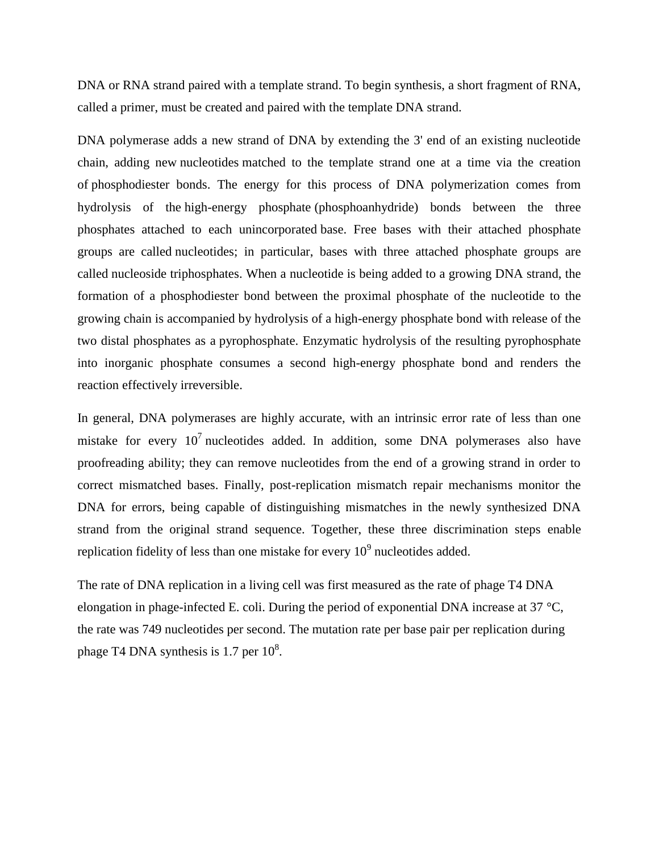DNA or RNA strand paired with a template strand. To begin synthesis, a short fragment of RNA, called a [primer,](https://en.wikipedia.org/wiki/Primer_(molecular_biology)) must be created and paired with the template DNA strand.

DNA polymerase adds a new strand of DNA by extending the 3' end of an existing nucleotide chain, adding new [nucleotides](https://en.wikipedia.org/wiki/Nucleotide) matched to the template strand one at a time via the creation of [phosphodiester bonds.](https://en.wikipedia.org/wiki/Phosphodiester_bond) The energy for this process of DNA polymerization comes from hydrolysis of the [high-energy phosphate](https://en.wikipedia.org/wiki/High-energy_phosphate) (phosphoanhydride) bonds between the three phosphates attached to each unincorporated [base.](https://en.wikipedia.org/wiki/Nucleotide) Free bases with their attached phosphate groups are called [nucleotides;](https://en.wikipedia.org/wiki/Nucleotide) in particular, bases with three attached phosphate groups are called [nucleoside triphosphates.](https://en.wikipedia.org/wiki/Nucleoside_triphosphate) When a nucleotide is being added to a growing DNA strand, the formation of a phosphodiester bond between the proximal phosphate of the nucleotide to the growing chain is accompanied by hydrolysis of a high-energy phosphate bond with release of the two distal phosphates as a [pyrophosphate.](https://en.wikipedia.org/wiki/Pyrophosphate) Enzymatic hydrolysis of the resulting pyrophosphate into inorganic phosphate consumes a second high-energy phosphate bond and renders the reaction effectively irreversible.

In general, DNA polymerases are highly accurate, with an intrinsic error rate of less than one mistake for every  $10^7$  nucleotides added. In addition, some DNA polymerases also have proofreading ability; they can remove nucleotides from the end of a growing strand in order to correct mismatched bases. Finally, post-replication mismatch repair mechanisms monitor the DNA for errors, being capable of distinguishing mismatches in the newly synthesized DNA strand from the original strand sequence. Together, these three discrimination steps enable replication fidelity of less than one mistake for every  $10^9$  nucleotides added.

The rate of DNA replication in a living cell was first measured as the rate of phage T4 DNA elongation in phage-infected E. coli. During the period of exponential DNA increase at 37  $^{\circ}C$ , the rate was 749 nucleotides per second. The mutation rate per base pair per replication during phage T4 DNA synthesis is 1.7 per  $10^8$ .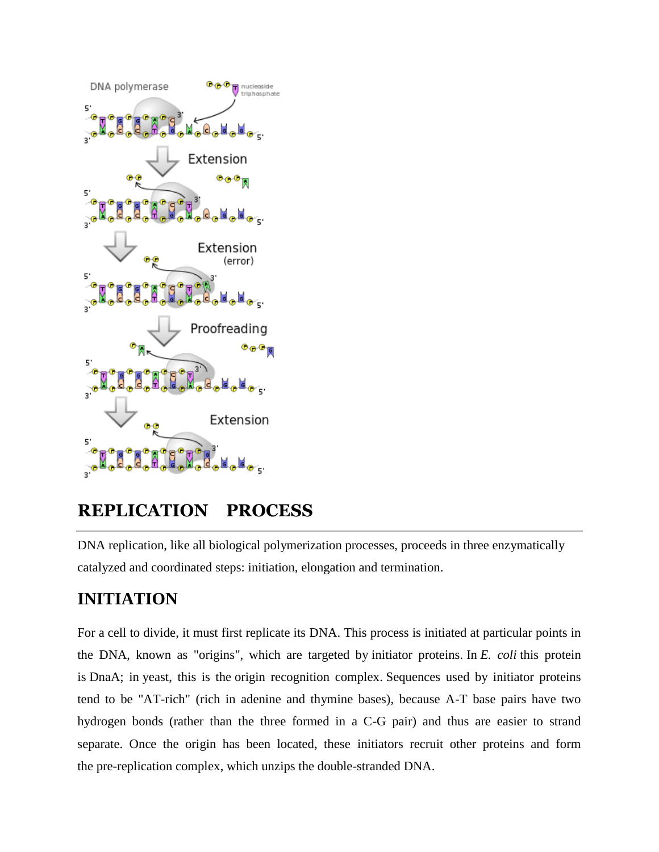

# **REPLICATION PROCESS**

DNA replication, like all biological polymerization processes, proceeds in three enzymatically catalyzed and coordinated steps: initiation, elongation and termination.

# **INITIATION**

For a [cell to divide,](https://en.wikipedia.org/wiki/Cell_division) it must first replicate its DNA. This process is initiated at particular points in the DNA, known as ["origins"](https://en.wikipedia.org/wiki/Origin_of_replication), which are targeted by [initiator proteins.](https://en.wikipedia.org/wiki/Initiator_protein) In *[E. coli](https://en.wikipedia.org/wiki/Escherichia_coli)* this protein is [DnaA;](https://en.wikipedia.org/wiki/DnaA) in [yeast,](https://en.wikipedia.org/wiki/Yeast) this is the [origin recognition complex.](https://en.wikipedia.org/wiki/Origin_recognition_complex) Sequences used by initiator proteins tend to be "AT-rich" (rich in adenine and thymine bases), because A-T base pairs have two hydrogen bonds (rather than the three formed in a C-G pair) and thus are easier to strand separate. Once the origin has been located, these initiators recruit other proteins and form the [pre-replication complex,](https://en.wikipedia.org/wiki/Pre-replication_complex) which unzips the double-stranded DNA.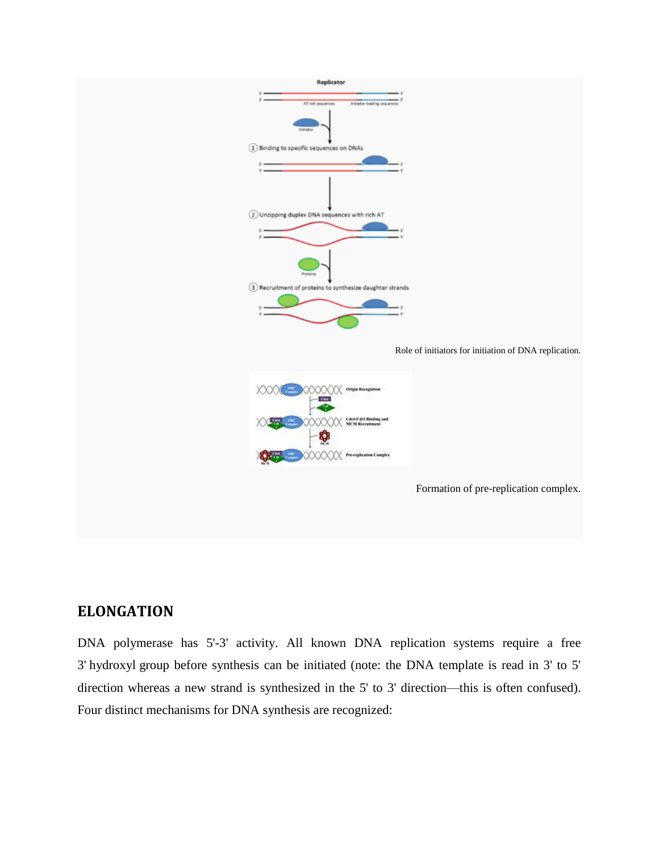

## **ELONGATION**

DNA polymerase has 5'-3' activity. All known DNA replication systems require a free 3' [hydroxyl](https://en.wikipedia.org/wiki/Hydroxyl) group before synthesis can be initiated (note: the DNA template is read in 3' to 5' direction whereas a new strand is synthesized in the 5' to 3' direction—this is often confused). Four distinct mechanisms for DNA synthesis are recognized: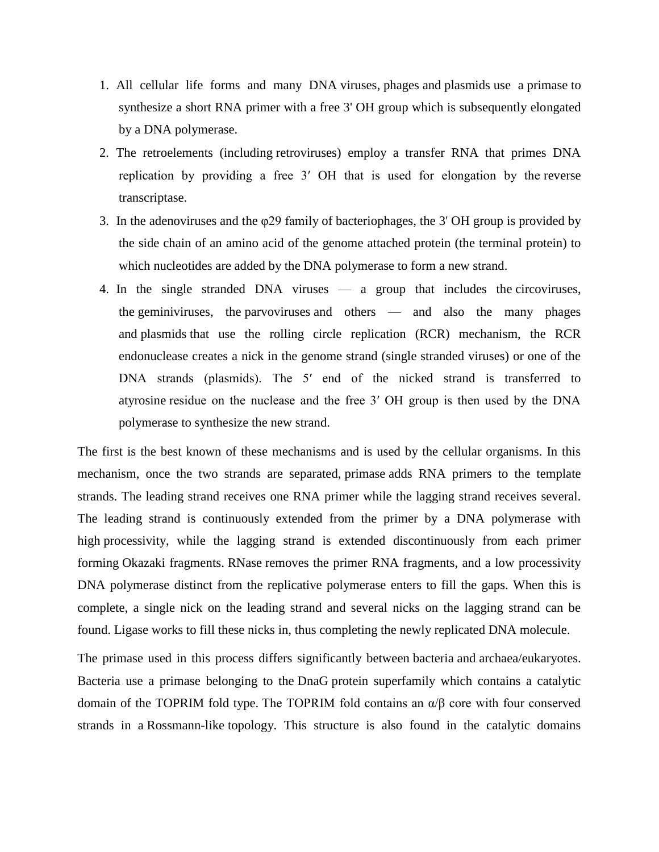- 1. All cellular life forms and many DNA [viruses,](https://en.wikipedia.org/wiki/Virus) [phages](https://en.wikipedia.org/wiki/Phage) and [plasmids](https://en.wikipedia.org/wiki/Plasmid) use a [primase](https://en.wikipedia.org/wiki/Primase) to synthesize a short RNA primer with a free 3' OH group which is subsequently elongated by a DNA polymerase.
- 2. The retroelements (including [retroviruses\)](https://en.wikipedia.org/wiki/Retrovirus) employ a transfer RNA that primes DNA replication by providing a free 3′ OH that is used for elongation by the [reverse](https://en.wikipedia.org/wiki/Reverse_transcriptase)  [transcriptase.](https://en.wikipedia.org/wiki/Reverse_transcriptase)
- 3. In the [adenoviruses](https://en.wikipedia.org/wiki/Adenovirus) and the [φ29 family](https://en.wikipedia.org/w/index.php?title=%CE%A629_family&action=edit&redlink=1) of [bacteriophages,](https://en.wikipedia.org/wiki/Bacteriophage) the 3' OH group is provided by the side chain of an amino acid of the genome attached protein (the terminal protein) to which nucleotides are added by the DNA polymerase to form a new strand.
- 4. In the single stranded DNA viruses a group that includes the [circoviruses,](https://en.wikipedia.org/wiki/Circovirus) the [geminiviruses,](https://en.wikipedia.org/wiki/Geminivirus) the [parvoviruses](https://en.wikipedia.org/wiki/Parvovirus) and others — and also the many phages and [plasmids](https://en.wikipedia.org/wiki/Plasmid) that use the rolling circle replication (RCR) mechanism, the RCR endonuclease creates a nick in the genome strand (single stranded viruses) or one of the DNA strands (plasmids). The 5' end of the nicked strand is transferred to [atyrosine](https://en.wikipedia.org/wiki/Tyrosine) residue on the nuclease and the free 3′ OH group is then used by the DNA polymerase to synthesize the new strand.

The first is the best known of these mechanisms and is used by the cellular organisms. In this mechanism, once the two strands are separated, [primase](https://en.wikipedia.org/wiki/Primase) adds RNA primers to the template strands. The leading strand receives one RNA primer while the lagging strand receives several. The leading strand is continuously extended from the primer by a DNA polymerase with high [processivity,](https://en.wikipedia.org/wiki/Processivity) while the lagging strand is extended discontinuously from each primer forming [Okazaki fragments.](https://en.wikipedia.org/wiki/Okazaki_fragments) [RNase](https://en.wikipedia.org/wiki/RNase) removes the primer RNA fragments, and a low processivity DNA polymerase distinct from the replicative polymerase enters to fill the gaps. When this is complete, a single nick on the leading strand and several nicks on the lagging strand can be found. [Ligase](https://en.wikipedia.org/wiki/Ligase) works to fill these nicks in, thus completing the newly replicated DNA molecule.

The primase used in this process differs significantly between [bacteria](https://en.wikipedia.org/wiki/Bacteria) and [archaea/](https://en.wikipedia.org/wiki/Archaea)[eukaryotes.](https://en.wikipedia.org/wiki/Eukaryote) Bacteria use a primase belonging to the [DnaG](https://en.wikipedia.org/wiki/DnaG) protein superfamily which contains a catalytic domain of the TOPRIM fold type. The TOPRIM fold contains an α/β core with four conserved strands in a [Rossmann-like](https://en.wikipedia.org/wiki/Rossmann_fold) topology. This structure is also found in the catalytic domains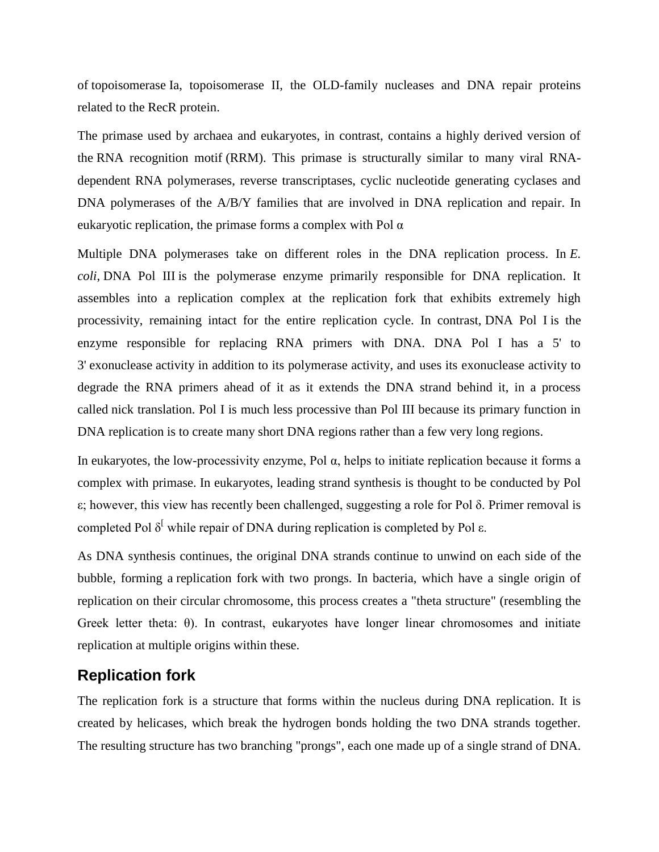of [topoisomerase](https://en.wikipedia.org/wiki/Topoisomerase) Ia, topoisomerase II, the OLD-family nucleases and DNA repair proteins related to the RecR protein.

The primase used by archaea and eukaryotes, in contrast, contains a highly derived version of the [RNA recognition motif](https://en.wikipedia.org/wiki/RNA_recognition_motif) (RRM). This primase is structurally similar to many viral RNAdependent RNA polymerases, reverse transcriptases, cyclic nucleotide generating cyclases and DNA polymerases of the A/B/Y families that are involved in DNA replication and repair. In eukaryotic replication, the primase forms a complex with Pol  $\alpha$ 

Multiple DNA polymerases take on different roles in the DNA replication process. In *[E.](https://en.wikipedia.org/wiki/Escherichia_coli)  [coli](https://en.wikipedia.org/wiki/Escherichia_coli)*, [DNA Pol III](https://en.wikipedia.org/wiki/Pol_III) is the polymerase enzyme primarily responsible for DNA replication. It assembles into a replication complex at the replication fork that exhibits extremely high processivity, remaining intact for the entire replication cycle. In contrast, [DNA Pol I](https://en.wikipedia.org/wiki/Pol_I) is the enzyme responsible for replacing RNA primers with DNA. DNA Pol I has a 5' to 3' [exonuclease](https://en.wikipedia.org/wiki/Exonuclease) activity in addition to its polymerase activity, and uses its exonuclease activity to degrade the RNA primers ahead of it as it extends the DNA strand behind it, in a process called [nick translation.](https://en.wikipedia.org/wiki/Nick_translation) Pol I is much less processive than Pol III because its primary function in DNA replication is to create many short DNA regions rather than a few very long regions.

In [eukaryotes,](https://en.wikipedia.org/wiki/Eukaryote) the low-processivity enzyme, Pol  $\alpha$ , helps to initiate replication because it forms a complex with primase. In eukaryotes, leading strand synthesis is thought to be conducted by Pol ε; however, this view has recently been challenged, suggesting a role for Pol δ. Primer removal is completed Pol [δ](https://en.wikipedia.org/wiki/DNA_replication#cite_note-18)<sup>[</sup> while repair of DNA during replication is completed by Pol ε.

As DNA synthesis continues, the original DNA strands continue to unwind on each side of the bubble, forming a [replication fork](https://en.wikipedia.org/wiki/Replication_fork) with two prongs. In bacteria, which have a single origin of replication on their circular chromosome, this process creates a ["theta structure"](https://en.wikipedia.org/wiki/Theta_structure) (resembling the Greek letter theta: θ). In contrast, eukaryotes have longer linear chromosomes and initiate replication at multiple origins within these.

## **Replication fork**

The replication fork is a structure that forms within the nucleus during DNA replication. It is created by helicases, which break the hydrogen bonds holding the two DNA strands together. The resulting structure has two branching "prongs", each one made up of a single strand of DNA.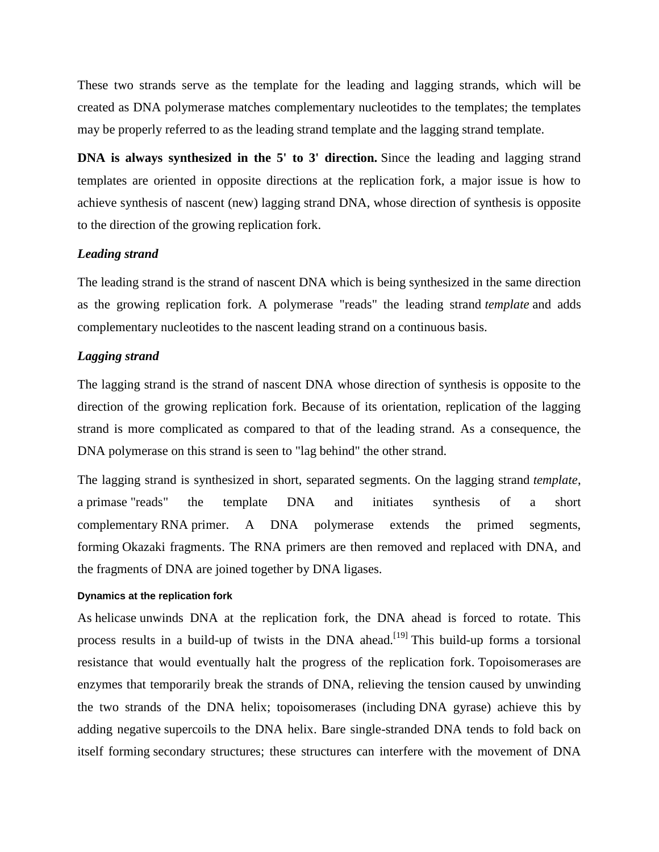These two strands serve as the template for the leading and lagging strands, which will be created as DNA polymerase matches complementary nucleotides to the templates; the templates may be properly referred to as the leading strand template and the lagging strand template.

**DNA** is always synthesized in the 5' to 3' direction. Since the leading and lagging strand templates are oriented in opposite directions at the replication fork, a major issue is how to achieve synthesis of nascent (new) lagging strand DNA, whose direction of synthesis is opposite to the direction of the growing replication fork.

#### *Leading strand*

The leading strand is the strand of nascent DNA which is being synthesized in the same direction as the growing replication fork. A polymerase "reads" the leading strand *template* and adds complementary [nucleotides](https://en.wikipedia.org/wiki/Nucleotides) to the nascent leading strand on a continuous basis.

#### *Lagging strand*

The lagging strand is the strand of nascent DNA whose direction of synthesis is opposite to the direction of the growing replication fork. Because of its orientation, replication of the lagging strand is more complicated as compared to that of the leading strand. As a consequence, the DNA polymerase on this strand is seen to "lag behind" the other strand.

The lagging strand is synthesized in short, separated segments. On the lagging strand *template*, a [primase](https://en.wikipedia.org/wiki/Primase) "reads" the template DNA and initiates synthesis of a short complementary [RNA](https://en.wikipedia.org/wiki/RNA) primer. A DNA polymerase extends the primed segments, forming [Okazaki fragments.](https://en.wikipedia.org/wiki/Okazaki_fragment) The RNA primers are then removed and replaced with DNA, and the fragments of DNA are joined together by [DNA ligases](https://en.wikipedia.org/wiki/DNA_ligase).

#### **Dynamics at the replication fork**

As [helicase](https://en.wikipedia.org/wiki/Helicase) unwinds DNA at the replication fork, the DNA ahead is forced to rotate. This process results in a build-up of twists in the DNA ahead.<sup>[\[19\]](https://en.wikipedia.org/wiki/DNA_replication#cite_note-20)</sup> This build-up forms a torsional resistance that would eventually halt the progress of the replication fork. [Topoisomerases](https://en.wikipedia.org/wiki/Topoisomerase) are enzymes that temporarily break the strands of DNA, relieving the tension caused by unwinding the two strands of the DNA helix; topoisomerases (including [DNA gyrase\)](https://en.wikipedia.org/wiki/DNA_gyrase) achieve this by adding negative [supercoils](https://en.wikipedia.org/wiki/DNA_supercoil) to the DNA helix. Bare single-stranded DNA tends to fold back on itself forming [secondary structures;](https://en.wikipedia.org/wiki/Biomolecular_structure#Secondary_structure) these structures can interfere with the movement of DNA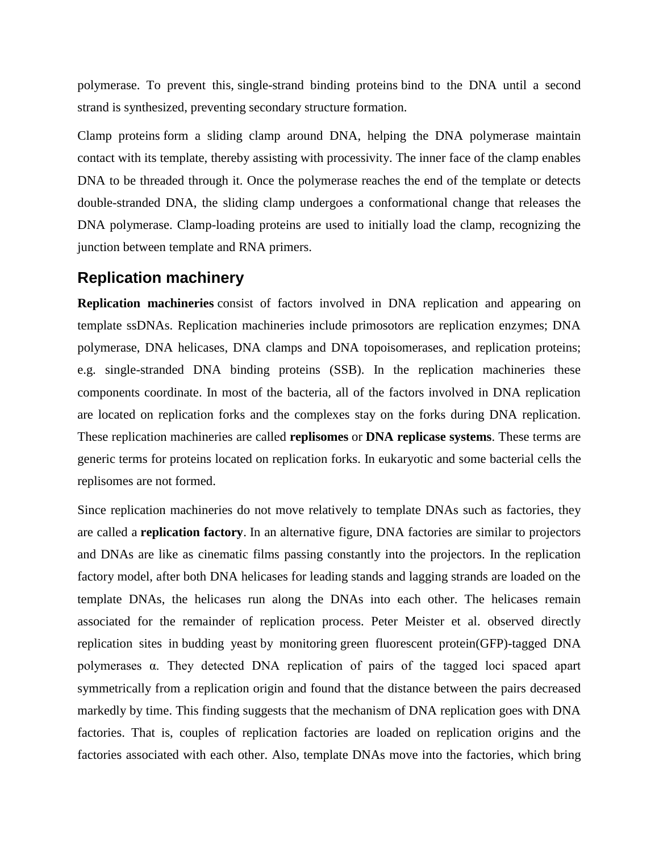polymerase. To prevent this, [single-strand binding proteins](https://en.wikipedia.org/wiki/Single-strand_binding_protein) bind to the DNA until a second strand is synthesized, preventing secondary structure formation.

[Clamp proteins](https://en.wikipedia.org/wiki/DNA_clamp) form a sliding clamp around DNA, helping the DNA polymerase maintain contact with its template, thereby assisting with processivity. The inner face of the clamp enables DNA to be threaded through it. Once the polymerase reaches the end of the template or detects double-stranded DNA, the sliding clamp undergoes a conformational change that releases the DNA polymerase. Clamp-loading proteins are used to initially load the clamp, recognizing the junction between template and RNA primers.

### **Replication machinery**

**Replication machineries** consist of factors involved in DNA replication and appearing on template ssDNAs. Replication machineries include primosotors are replication enzymes; DNA polymerase, DNA helicases, DNA clamps and DNA topoisomerases, and replication proteins; e.g. single-stranded DNA binding proteins (SSB). In the replication machineries these components coordinate. In most of the bacteria, all of the factors involved in DNA replication are located on replication forks and the complexes stay on the forks during DNA replication. These replication machineries are called **[replisomes](https://en.wikipedia.org/wiki/Replisome)** or **DNA replicase systems**. These terms are generic terms for proteins located on replication forks. In eukaryotic and some bacterial cells the replisomes are not formed.

Since replication machineries do not move relatively to template DNAs such as factories, they are called a **replication factory**. In an alternative figure, DNA factories are similar to projectors and DNAs are like as cinematic films passing constantly into the projectors. In the replication factory model, after both DNA helicases for leading stands and lagging strands are loaded on the template DNAs, the helicases run along the DNAs into each other. The helicases remain associated for the remainder of replication process. Peter Meister et al. observed directly replication sites in [budding yeast](https://en.wikipedia.org/wiki/Budding_yeast) by monitoring [green fluorescent protein\(](https://en.wikipedia.org/wiki/Green_fluorescent_protein)GFP)-tagged DNA polymerases α. They detected DNA replication of pairs of the tagged loci spaced apart symmetrically from a replication origin and found that the distance between the pairs decreased markedly by time. This finding suggests that the mechanism of DNA replication goes with DNA factories. That is, couples of replication factories are loaded on replication origins and the factories associated with each other. Also, template DNAs move into the factories, which bring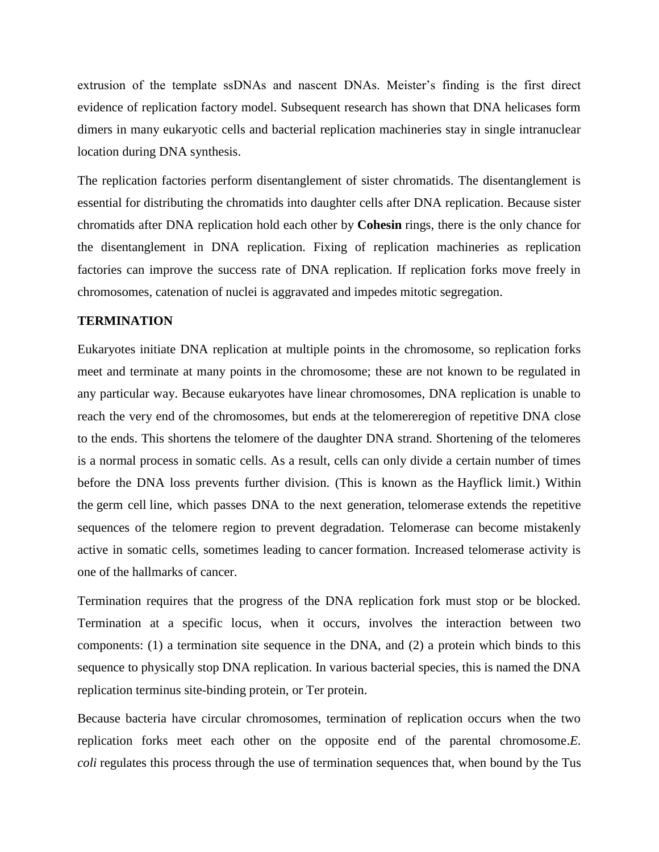extrusion of the template ssDNAs and nascent DNAs. Meister's finding is the first direct evidence of replication factory model. Subsequent research has shown that DNA helicases form dimers in many eukaryotic cells and bacterial replication machineries stay in single intranuclear location during DNA synthesis.

The replication factories perform disentanglement of sister chromatids. The disentanglement is essential for distributing the chromatids into daughter cells after DNA replication. Because sister chromatids after DNA replication hold each other by **[Cohesin](https://en.wikipedia.org/wiki/Cohesin)** rings, there is the only chance for the disentanglement in DNA replication. Fixing of replication machineries as replication factories can improve the success rate of DNA replication. If replication forks move freely in chromosomes, catenation of nuclei is aggravated and impedes mitotic segregation.

#### **TERMINATION**

Eukaryotes initiate DNA replication at multiple points in the chromosome, so replication forks meet and terminate at many points in the chromosome; these are not known to be regulated in any particular way. Because eukaryotes have linear chromosomes, DNA replication is unable to reach the very end of the chromosomes, but ends at the [telomerer](https://en.wikipedia.org/wiki/Telomere)egion of repetitive DNA close to the ends. This shortens the telomere of the daughter DNA strand. Shortening of the telomeres is a normal process in [somatic cells.](https://en.wikipedia.org/wiki/Somatic_cell) As a result, cells can only divide a certain number of times before the DNA loss prevents further division. (This is known as the [Hayflick limit.](https://en.wikipedia.org/wiki/Hayflick_limit)) Within the [germ cell](https://en.wikipedia.org/wiki/Germ_cell) line, which passes DNA to the next generation, [telomerase](https://en.wikipedia.org/wiki/Telomerase) extends the repetitive sequences of the telomere region to prevent degradation. Telomerase can become mistakenly active in somatic cells, sometimes leading to [cancer](https://en.wikipedia.org/wiki/Cancer) formation. Increased telomerase activity is one of the hallmarks of cancer.

Termination requires that the progress of the DNA replication fork must stop or be blocked. Termination at a specific locus, when it occurs, involves the interaction between two components: (1) a termination site sequence in the DNA, and (2) a protein which binds to this sequence to physically stop DNA replication. In various bacterial species, this is named the DNA replication terminus site-binding protein, or [Ter protein.](https://en.wikipedia.org/wiki/Ter_protein)

Because bacteria have circular chromosomes, termination of replication occurs when the two replication forks meet each other on the opposite end of the parental chromosome.*E. coli* regulates this process through the use of termination sequences that, when bound by the [Tus](https://en.wikipedia.org/wiki/Tus_protein)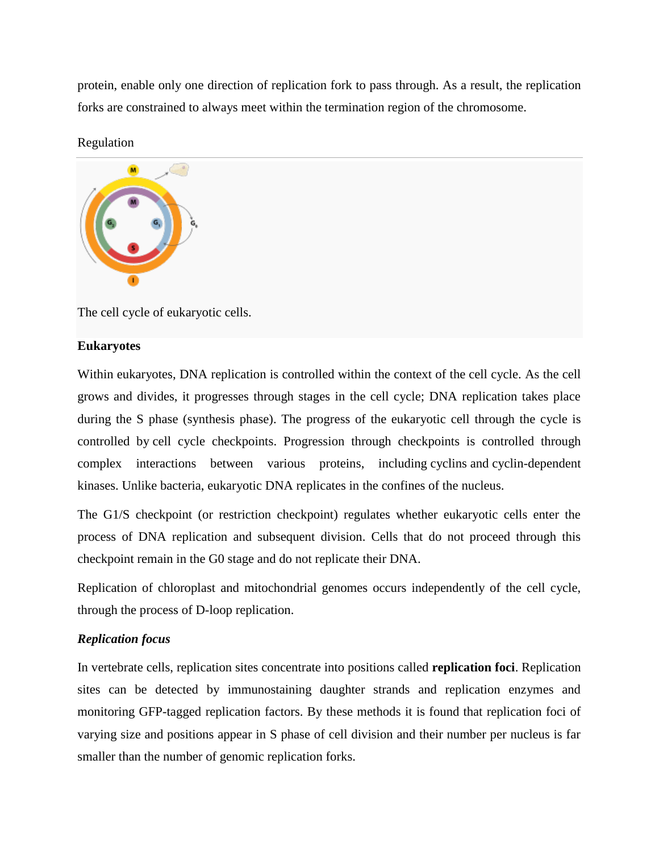protein, enable only one direction of replication fork to pass through. As a result, the replication forks are constrained to always meet within the termination region of the chromosome.

#### Regulation



The cell cycle of eukaryotic cells.

#### **Eukaryotes**

Within eukaryotes, DNA replication is controlled within the context of the [cell cycle.](https://en.wikipedia.org/wiki/Cell_cycle) As the cell grows and divides, it progresses through stages in the cell cycle; DNA replication takes place during the S phase (synthesis phase). The progress of the eukaryotic cell through the cycle is controlled by [cell cycle checkpoints.](https://en.wikipedia.org/wiki/Cell_cycle_checkpoint) Progression through checkpoints is controlled through complex interactions between various proteins, including [cyclins](https://en.wikipedia.org/wiki/Cyclin) and [cyclin-dependent](https://en.wikipedia.org/wiki/Cyclin-dependent_kinase)  [kinases.](https://en.wikipedia.org/wiki/Cyclin-dependent_kinase) Unlike bacteria, eukaryotic DNA replicates in the confines of the nucleus.

The G1/S checkpoint (or restriction checkpoint) regulates whether eukaryotic cells enter the process of DNA replication and subsequent division. Cells that do not proceed through this checkpoint remain in the G0 stage and do not replicate their DNA.

Replication of chloroplast and mitochondrial genomes occurs independently of the cell cycle, through the process of [D-loop replication.](https://en.wikipedia.org/wiki/D-loop_replication)

#### *Replication focus*

In vertebrate cells, replication sites concentrate into positions called **replication foci**. Replication sites can be detected by immunostaining daughter strands and replication enzymes and monitoring GFP-tagged replication factors. By these methods it is found that replication foci of varying size and positions appear in S phase of cell division and their number per nucleus is far smaller than the number of genomic replication forks.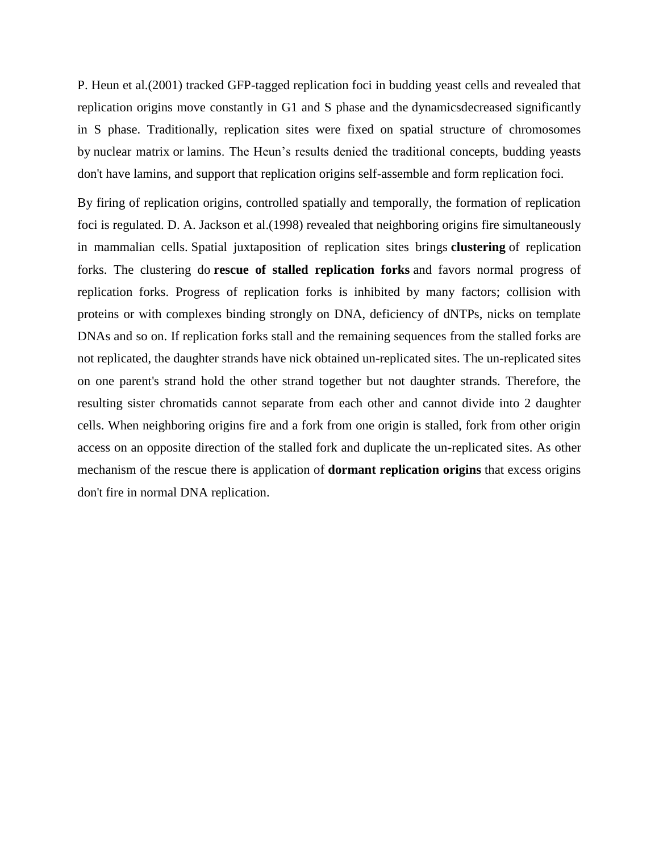P. Heun et al.(2001) tracked GFP-tagged replication foci in budding yeast cells and revealed that replication origins move constantly in G1 and S phase and the [dynamicsd](https://en.wikipedia.org/wiki/Molecular_dynamics)ecreased significantly in S phase. Traditionally, replication sites were fixed on spatial structure of chromosomes by [nuclear matrix](https://en.wikipedia.org/wiki/Nuclear_matrix) or [lamins.](https://en.wikipedia.org/wiki/Lamin) The Heun's results denied the traditional concepts, budding yeasts don't have lamins, and support that replication origins self-assemble and form replication foci.

By firing of replication origins, controlled spatially and temporally, the formation of replication foci is regulated. D. A. Jackson et al.(1998) revealed that neighboring origins fire simultaneously in mammalian cells. Spatial juxtaposition of replication sites brings **clustering** of replication forks. The clustering do **rescue of stalled replication forks** and favors normal progress of replication forks. Progress of replication forks is inhibited by many factors; collision with proteins or with complexes binding strongly on DNA, deficiency of dNTPs, nicks on template DNAs and so on. If replication forks stall and the remaining sequences from the stalled forks are not replicated, the daughter strands have nick obtained un-replicated sites. The un-replicated sites on one parent's strand hold the other strand together but not daughter strands. Therefore, the resulting sister chromatids cannot separate from each other and cannot divide into 2 daughter cells. When neighboring origins fire and a fork from one origin is stalled, fork from other origin access on an opposite direction of the stalled fork and duplicate the un-replicated sites. As other mechanism of the rescue there is application of **dormant replication origins** that excess origins don't fire in normal DNA replication.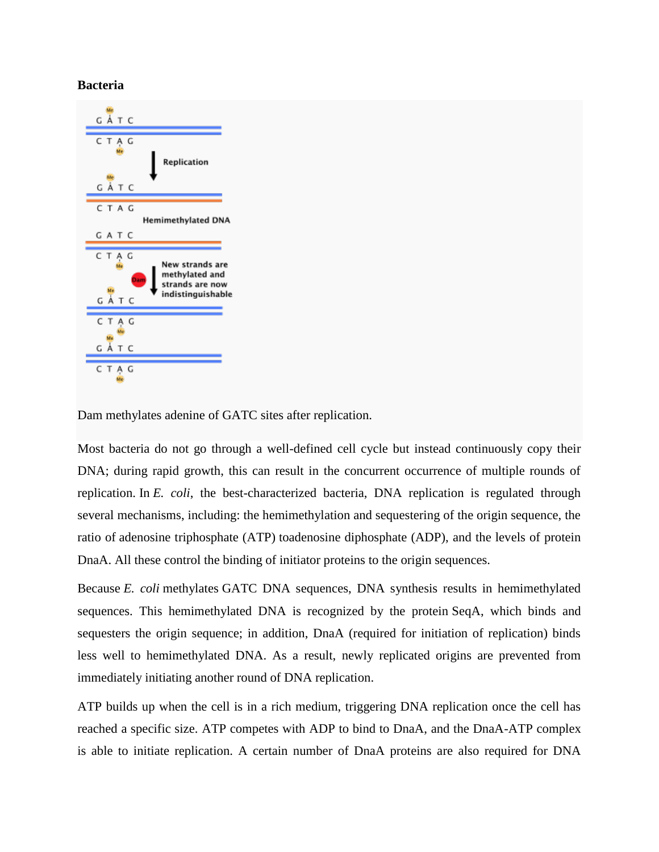#### **Bacteria**



Dam methylates adenine of GATC sites after replication.

Most bacteria do not go through a well-defined cell cycle but instead continuously copy their DNA; during rapid growth, this can result in the concurrent occurrence of multiple rounds of replication. In *E. coli*, the best-characterized bacteria, DNA replication is regulated through several mechanisms, including: the hemimethylation and sequestering of the origin sequence, the ratio of [adenosine triphosphate \(ATP\)](https://en.wikipedia.org/wiki/Adenosine_triphosphate) t[oadenosine diphosphate \(ADP\),](https://en.wikipedia.org/wiki/Adenosine_diphosphate) and the levels of protein DnaA. All these control the binding of initiator proteins to the origin sequences.

Because *E. coli* [methylates](https://en.wikipedia.org/wiki/DNA_methylation) GATC DNA sequences, DNA synthesis results in hemimethylated sequences. This hemimethylated DNA is recognized by the protein [SeqA,](https://en.wikipedia.org/wiki/SeqA_protein_domain) which binds and sequesters the origin sequence; in addition, DnaA (required for initiation of replication) binds less well to hemimethylated DNA. As a result, newly replicated origins are prevented from immediately initiating another round of DNA replication.

ATP builds up when the cell is in a rich medium, triggering DNA replication once the cell has reached a specific size. ATP competes with ADP to bind to DnaA, and the DnaA-ATP complex is able to initiate replication. A certain number of DnaA proteins are also required for DNA